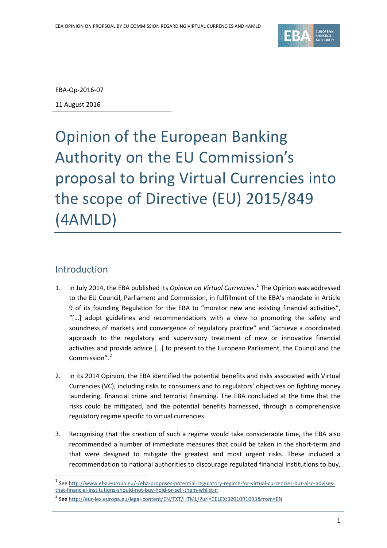

EBA-Op-2016-07

11 August 2016

Opinion of the European Banking Authority on the EU Commission's proposal to bring Virtual Currencies into the scope of Directive (EU) 2015/849 (4AMLD)

## Introduction

 $\overline{a}$ 

- [1](#page-0-0). In July 2014, the EBA published its *Opinion on Virtual Currencies*.<sup>1</sup> The Opinion was addressed to the EU Council, Parliament and Commission, in fulfillment of the EBA's mandate in Article 9 of its founding Regulation for the EBA to "monitor new and existing financial activities", "[…] adopt guidelines and recommendations with a view to promoting the safety and soundness of markets and convergence of regulatory practice" and "achieve a coordinated approach to the regulatory and supervisory treatment of new or innovative financial activities and provide advice […] to present to the European Parliament, the Council and the Commission". [2](#page-0-1)
- 2. In its 2014 Opinion, the EBA identified the potential benefits and risks associated with Virtual Currencies (VC), including risks to consumers and to regulators' objectives on fighting money laundering, financial crime and terrorist financing. The EBA concluded at the time that the risks could be mitigated, and the potential benefits harnessed, through a comprehensive regulatory regime specific to virtual currencies.
- 3. Recognising that the creation of such a regime would take considerable time, the EBA also recommended a number of immediate measures that could be taken in the short-term and that were designed to mitigate the greatest and most urgent risks. These included a recommendation to national authorities to discourage regulated financial institutions to buy,

<span id="page-0-0"></span><sup>&</sup>lt;sup>1</sup> See [http://www.eba.europa.eu/-/eba-proposes-potential-regulatory-regime-for-virtual-currencies-but-also-advises](http://www.eba.europa.eu/-/eba-proposes-potential-regulatory-regime-for-virtual-currencies-but-also-advises-that-financial-institutions-should-not-buy-hold-or-sell-them-whilst-n)[that-financial-institutions-should-not-buy-hold-or-sell-them-whilst-n](http://www.eba.europa.eu/-/eba-proposes-potential-regulatory-regime-for-virtual-currencies-but-also-advises-that-financial-institutions-should-not-buy-hold-or-sell-them-whilst-n)

<span id="page-0-1"></span><sup>&</sup>lt;sup>2</sup> See<http://eur-lex.europa.eu/legal-content/EN/TXT/HTML/?uri=CELEX:32010R1093&from=EN>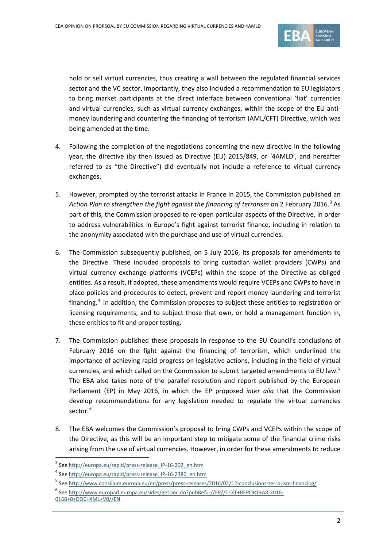

hold or sell virtual currencies, thus creating a wall between the regulated financial services sector and the VC sector. Importantly, they also included a recommendation to EU legislators to bring market participants at the direct interface between conventional 'fiat' currencies and virtual currencies, such as virtual currency exchanges, within the scope of the EU antimoney laundering and countering the financing of terrorism (AML/CFT) Directive, which was being amended at the time.

- 4. Following the completion of the negotiations concerning the new directive in the following year, the directive (by then issued as Directive (EU) 2015/849, or '4AMLD', and hereafter referred to as "the Directive") did eventually not include a reference to virtual currency exchanges.
- 5. However, prompted by the terrorist attacks in France in 2015, the Commission published an Action Plan to strengthen the fight against the financing of terrorism on 2 February 2016.<sup>[3](#page-1-0)</sup> As part of this, the Commission proposed to re-open particular aspects of the Directive, in order to address vulnerabilities in Europe's fight against terrorist finance, including in relation to the anonymity associated with the purchase and use of virtual currencies.
- 6. The Commission subsequently published, on 5 July 2016, its proposals for amendments to the Directive. These included proposals to bring custodian wallet providers (CWPs) and virtual currency exchange platforms (VCEPs) within the scope of the Directive as obliged entities. As a result, if adopted, these amendments would require VCEPs and CWPs to have in place policies and procedures to detect, prevent and report money laundering and terrorist financing.<sup>[4](#page-1-1)</sup> In addition, the Commission proposes to subject these entities to registration or licensing requirements, and to subject those that own, or hold a management function in, these entities to fit and proper testing.
- 7. The Commission published these proposals in response to the EU Council's conclusions of February 2016 on the fight against the financing of terrorism, which underlined the importance of achieving rapid progress on legislative actions, including in the field of virtual currencies, and which called on the Commission to submit targeted amendments to EU law.<sup>[5](#page-1-2)</sup> The EBA also takes note of the parallel resolution and report published by the European Parliament (EP) in May 2016, in which the EP proposed *inter alia* that the Commission develop recommendations for any legislation needed to regulate the virtual currencies sector.<sup>[6](#page-1-3)</sup>
- 8. The EBA welcomes the Commission's proposal to bring CWPs and VCEPs within the scope of the Directive, as this will be an important step to mitigate some of the financial crime risks arising from the use of virtual currencies. However, in order for these amendments to reduce

<span id="page-1-0"></span><sup>&</sup>lt;sup>3</sup> See [http://europa.eu/rapid/press-release\\_IP-16-202\\_en.htm](http://europa.eu/rapid/press-release_IP-16-202_en.htm)

<span id="page-1-1"></span><sup>4</sup> See [http://europa.eu/rapid/press-release\\_IP-16-2380\\_en.htm](http://europa.eu/rapid/press-release_IP-16-2380_en.htm)

<span id="page-1-2"></span><sup>5</sup> See<http://www.consilium.europa.eu/en/press/press-releases/2016/02/12-conclusions-terrorism-financing/>

<span id="page-1-3"></span><sup>6</sup> See [http://www.europarl.europa.eu/sides/getDoc.do?pubRef=-//EP//TEXT+REPORT+A8-2016-](http://www.europarl.europa.eu/sides/getDoc.do?pubRef=-//EP//TEXT+REPORT+A8-2016-0168+0+DOC+XML+V0//EN)

[<sup>0168+0+</sup>DOC+XML+V0//EN](http://www.europarl.europa.eu/sides/getDoc.do?pubRef=-//EP//TEXT+REPORT+A8-2016-0168+0+DOC+XML+V0//EN)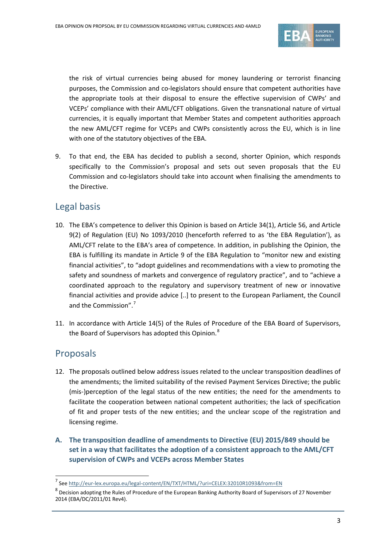

the risk of virtual currencies being abused for money laundering or terrorist financing purposes, the Commission and co-legislators should ensure that competent authorities have the appropriate tools at their disposal to ensure the effective supervision of CWPs' and VCEPs' compliance with their AML/CFT obligations. Given the transnational nature of virtual currencies, it is equally important that Member States and competent authorities approach the new AML/CFT regime for VCEPs and CWPs consistently across the EU, which is in line with one of the statutory objectives of the EBA.

9. To that end, the EBA has decided to publish a second, shorter Opinion, which responds specifically to the Commission's proposal and sets out seven proposals that the EU Commission and co-legislators should take into account when finalising the amendments to the Directive.

# Legal basis

- 10. The EBA's competence to deliver this Opinion is based on Article 34(1), Article 56, and Article 9(2) of Regulation (EU) No 1093/2010 (henceforth referred to as 'the EBA Regulation'), as AML/CFT relate to the EBA's area of competence. In addition, in publishing the Opinion, the EBA is fulfilling its mandate in Article 9 of the EBA Regulation to "monitor new and existing financial activities", to "adopt guidelines and recommendations with a view to promoting the safety and soundness of markets and convergence of regulatory practice", and to "achieve a coordinated approach to the regulatory and supervisory treatment of new or innovative financial activities and provide advice [..] to present to the European Parliament, the Council and the Commission".[7](#page-2-0)
- 11. In accordance with Article 14(5) of the Rules of Procedure of the EBA Board of Supervisors, the Board of Supervisors has adopted this Opinion.<sup>[8](#page-2-1)</sup>

# Proposals

 $\overline{a}$ 

- 12. The proposals outlined below address issues related to the unclear transposition deadlines of the amendments; the limited suitability of the revised Payment Services Directive; the public (mis-)perception of the legal status of the new entities; the need for the amendments to facilitate the cooperation between national competent authorities; the lack of specification of fit and proper tests of the new entities; and the unclear scope of the registration and licensing regime.
- **A. The transposition deadline of amendments to Directive (EU) 2015/849 should be set in a way that facilitates the adoption of a consistent approach to the AML/CFT supervision of CWPs and VCEPs across Member States**

<span id="page-2-0"></span><sup>7</sup> See<http://eur-lex.europa.eu/legal-content/EN/TXT/HTML/?uri=CELEX:32010R1093&from=EN>

<span id="page-2-1"></span> $^8$  Decision adopting the Rules of Procedure of the European Banking Authority Board of Supervisors of 27 November 2014 (EBA/DC/2011/01 Rev4).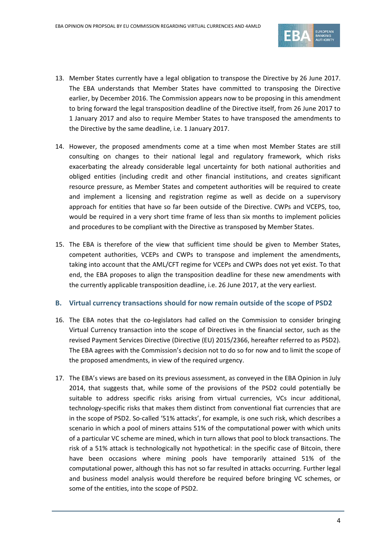

- 13. Member States currently have a legal obligation to transpose the Directive by 26 June 2017. The EBA understands that Member States have committed to transposing the Directive earlier, by December 2016. The Commission appears now to be proposing in this amendment to bring forward the legal transposition deadline of the Directive itself, from 26 June 2017 to 1 January 2017 and also to require Member States to have transposed the amendments to the Directive by the same deadline, i.e. 1 January 2017.
- 14. However, the proposed amendments come at a time when most Member States are still consulting on changes to their national legal and regulatory framework, which risks exacerbating the already considerable legal uncertainty for both national authorities and obliged entities (including credit and other financial institutions, and creates significant resource pressure, as Member States and competent authorities will be required to create and implement a licensing and registration regime as well as decide on a supervisory approach for entities that have so far been outside of the Directive. CWPs and VCEPS, too, would be required in a very short time frame of less than six months to implement policies and procedures to be compliant with the Directive as transposed by Member States.
- 15. The EBA is therefore of the view that sufficient time should be given to Member States, competent authorities, VCEPs and CWPs to transpose and implement the amendments, taking into account that the AML/CFT regime for VCEPs and CWPs does not yet exist. To that end, the EBA proposes to align the transposition deadline for these new amendments with the currently applicable transposition deadline, i.e. 26 June 2017, at the very earliest.

#### **B. Virtual currency transactions should for now remain outside of the scope of PSD2**

- 16. The EBA notes that the co-legislators had called on the Commission to consider bringing Virtual Currency transaction into the scope of Directives in the financial sector, such as the revised Payment Services Directive (Directive (EU) 2015/2366, hereafter referred to as PSD2). The EBA agrees with the Commission's decision not to do so for now and to limit the scope of the proposed amendments, in view of the required urgency.
- 17. The EBA's views are based on its previous assessment, as conveyed in the EBA Opinion in July 2014, that suggests that, while some of the provisions of the PSD2 could potentially be suitable to address specific risks arising from virtual currencies, VCs incur additional, technology-specific risks that makes them distinct from conventional fiat currencies that are in the scope of PSD2. So-called '51% attacks', for example, is one such risk, which describes a scenario in which a pool of miners attains 51% of the computational power with which units of a particular VC scheme are mined, which in turn allows that pool to block transactions. The risk of a 51% attack is technologically not hypothetical: in the specific case of Bitcoin, there have been occasions where mining pools have temporarily attained 51% of the computational power, although this has not so far resulted in attacks occurring. Further legal and business model analysis would therefore be required before bringing VC schemes, or some of the entities, into the scope of PSD2.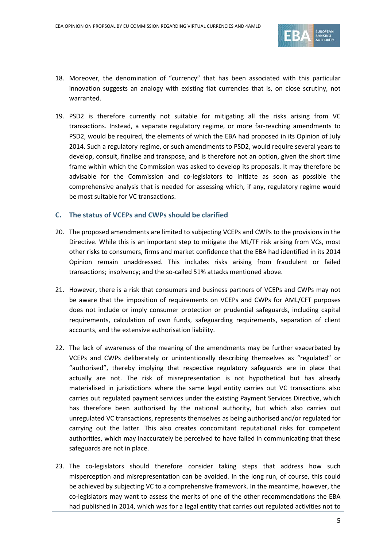

- 18. Moreover, the denomination of "currency" that has been associated with this particular innovation suggests an analogy with existing fiat currencies that is, on close scrutiny, not warranted.
- 19. PSD2 is therefore currently not suitable for mitigating all the risks arising from VC transactions. Instead, a separate regulatory regime, or more far-reaching amendments to PSD2, would be required, the elements of which the EBA had proposed in its Opinion of July 2014. Such a regulatory regime, or such amendments to PSD2, would require several years to develop, consult, finalise and transpose, and is therefore not an option, given the short time frame within which the Commission was asked to develop its proposals. It may therefore be advisable for the Commission and co-legislators to initiate as soon as possible the comprehensive analysis that is needed for assessing which, if any, regulatory regime would be most suitable for VC transactions.

#### **C. The status of VCEPs and CWPs should be clarified**

- 20. The proposed amendments are limited to subjecting VCEPs and CWPs to the provisions in the Directive. While this is an important step to mitigate the ML/TF risk arising from VCs, most other risks to consumers, firms and market confidence that the EBA had identified in its 2014 Opinion remain unaddressed. This includes risks arising from fraudulent or failed transactions; insolvency; and the so-called 51% attacks mentioned above.
- 21. However, there is a risk that consumers and business partners of VCEPs and CWPs may not be aware that the imposition of requirements on VCEPs and CWPs for AML/CFT purposes does not include or imply consumer protection or prudential safeguards, including capital requirements, calculation of own funds, safeguarding requirements, separation of client accounts, and the extensive authorisation liability.
- 22. The lack of awareness of the meaning of the amendments may be further exacerbated by VCEPs and CWPs deliberately or unintentionally describing themselves as "regulated" or "authorised", thereby implying that respective regulatory safeguards are in place that actually are not. The risk of misrepresentation is not hypothetical but has already materialised in jurisdictions where the same legal entity carries out VC transactions also carries out regulated payment services under the existing Payment Services Directive, which has therefore been authorised by the national authority, but which also carries out unregulated VC transactions, represents themselves as being authorised and/or regulated for carrying out the latter. This also creates concomitant reputational risks for competent authorities, which may inaccurately be perceived to have failed in communicating that these safeguards are not in place.
- 23. The co-legislators should therefore consider taking steps that address how such misperception and misrepresentation can be avoided. In the long run, of course, this could be achieved by subjecting VC to a comprehensive framework. In the meantime, however, the co-legislators may want to assess the merits of one of the other recommendations the EBA had published in 2014, which was for a legal entity that carries out regulated activities not to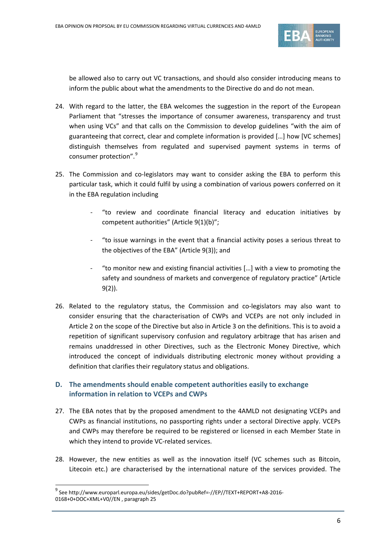

be allowed also to carry out VC transactions, and should also consider introducing means to inform the public about what the amendments to the Directive do and do not mean.

- 24. With regard to the latter, the EBA welcomes the suggestion in the report of the European Parliament that "stresses the importance of consumer awareness, transparency and trust when using VCs" and that calls on the Commission to develop guidelines "with the aim of guaranteeing that correct, clear and complete information is provided […] how [VC schemes] distinguish themselves from regulated and supervised payment systems in terms of consumer protection".<sup>[9](#page-5-0)</sup>
- 25. The Commission and co-legislators may want to consider asking the EBA to perform this particular task, which it could fulfil by using a combination of various powers conferred on it in the EBA regulation including
	- "to review and coordinate financial literacy and education initiatives by competent authorities" (Article 9(1)(b)";
	- "to issue warnings in the event that a financial activity poses a serious threat to the objectives of the EBA" (Article 9(3)); and
	- "to monitor new and existing financial activities  $[...]$  with a view to promoting the safety and soundness of markets and convergence of regulatory practice" (Article 9(2)).
- 26. Related to the regulatory status, the Commission and co-legislators may also want to consider ensuring that the characterisation of CWPs and VCEPs are not only included in Article 2 on the scope of the Directive but also in Article 3 on the definitions. This is to avoid a repetition of significant supervisory confusion and regulatory arbitrage that has arisen and remains unaddressed in other Directives, such as the Electronic Money Directive, which introduced the concept of individuals distributing electronic money without providing a definition that clarifies their regulatory status and obligations.

## **D. The amendments should enable competent authorities easily to exchange information in relation to VCEPs and CWPs**

- 27. The EBA notes that by the proposed amendment to the 4AMLD not designating VCEPs and CWPs as financial institutions, no passporting rights under a sectoral Directive apply. VCEPs and CWPs may therefore be required to be registered or licensed in each Member State in which they intend to provide VC-related services.
- 28. However, the new entities as well as the innovation itself (VC schemes such as Bitcoin, Litecoin etc.) are characterised by the international nature of the services provided. The

 $\overline{a}$ 

<span id="page-5-0"></span><sup>9</sup> See http://www.europarl.europa.eu/sides/getDoc.do?pubRef=-//EP//TEXT+REPORT+A8-2016- 0168+0+DOC+XML+V0//EN , paragraph 25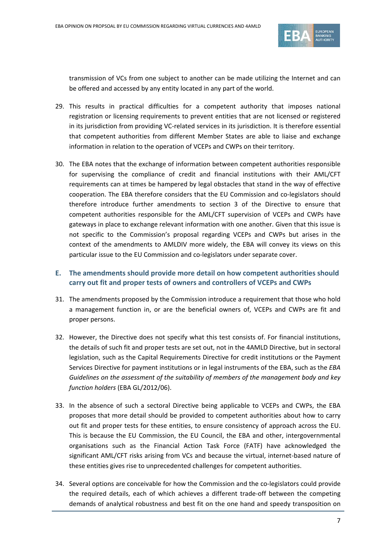

transmission of VCs from one subject to another can be made utilizing the Internet and can be offered and accessed by any entity located in any part of the world.

- 29. This results in practical difficulties for a competent authority that imposes national registration or licensing requirements to prevent entities that are not licensed or registered in its jurisdiction from providing VC-related services in its jurisdiction. It is therefore essential that competent authorities from different Member States are able to liaise and exchange information in relation to the operation of VCEPs and CWPs on their territory.
- 30. The EBA notes that the exchange of information between competent authorities responsible for supervising the compliance of credit and financial institutions with their AML/CFT requirements can at times be hampered by legal obstacles that stand in the way of effective cooperation. The EBA therefore considers that the EU Commission and co-legislators should therefore introduce further amendments to section 3 of the Directive to ensure that competent authorities responsible for the AML/CFT supervision of VCEPs and CWPs have gateways in place to exchange relevant information with one another. Given that this issue is not specific to the Commission's proposal regarding VCEPs and CWPs but arises in the context of the amendments to AMLDIV more widely, the EBA will convey its views on this particular issue to the EU Commission and co-legislators under separate cover.

### **E. The amendments should provide more detail on how competent authorities should carry out fit and proper tests of owners and controllers of VCEPs and CWPs**

- 31. The amendments proposed by the Commission introduce a requirement that those who hold a management function in, or are the beneficial owners of, VCEPs and CWPs are fit and proper persons.
- 32. However, the Directive does not specify what this test consists of. For financial institutions, the details of such fit and proper tests are set out, not in the 4AMLD Directive, but in sectoral legislation, such as the Capital Requirements Directive for credit institutions or the Payment Services Directive for payment institutions or in legal instruments of the EBA, such as the *EBA Guidelines on the assessment of the suitability of members of the management body and key function holders* (EBA GL/2012/06).
- 33. In the absence of such a sectoral Directive being applicable to VCEPs and CWPs, the EBA proposes that more detail should be provided to competent authorities about how to carry out fit and proper tests for these entities, to ensure consistency of approach across the EU. This is because the EU Commission, the EU Council, the EBA and other, intergovernmental organisations such as the Financial Action Task Force (FATF) have acknowledged the significant AML/CFT risks arising from VCs and because the virtual, internet-based nature of these entities gives rise to unprecedented challenges for competent authorities.
- 34. Several options are conceivable for how the Commission and the co-legislators could provide the required details, each of which achieves a different trade-off between the competing demands of analytical robustness and best fit on the one hand and speedy transposition on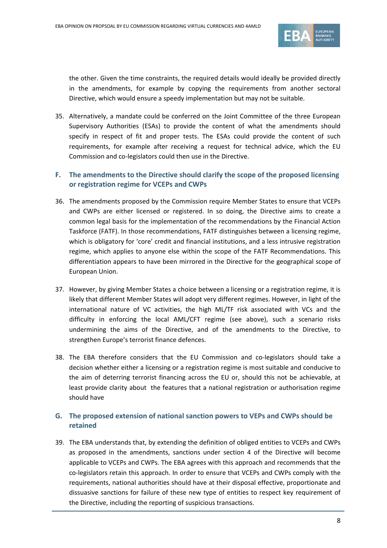

the other. Given the time constraints, the required details would ideally be provided directly in the amendments, for example by copying the requirements from another sectoral Directive, which would ensure a speedy implementation but may not be suitable.

- 35. Alternatively, a mandate could be conferred on the Joint Committee of the three European Supervisory Authorities (ESAs) to provide the content of what the amendments should specify in respect of fit and proper tests. The ESAs could provide the content of such requirements, for example after receiving a request for technical advice, which the EU Commission and co-legislators could then use in the Directive.
- **F. The amendments to the Directive should clarify the scope of the proposed licensing or registration regime for VCEPs and CWPs**
- 36. The amendments proposed by the Commission require Member States to ensure that VCEPs and CWPs are either licensed or registered. In so doing, the Directive aims to create a common legal basis for the implementation of the recommendations by the Financial Action Taskforce (FATF). In those recommendations, FATF distinguishes between a licensing regime, which is obligatory for 'core' credit and financial institutions, and a less intrusive registration regime, which applies to anyone else within the scope of the FATF Recommendations. This differentiation appears to have been mirrored in the Directive for the geographical scope of European Union.
- 37. However, by giving Member States a choice between a licensing or a registration regime, it is likely that different Member States will adopt very different regimes. However, in light of the international nature of VC activities, the high ML/TF risk associated with VCs and the difficulty in enforcing the local AML/CFT regime (see above), such a scenario risks undermining the aims of the Directive, and of the amendments to the Directive, to strengthen Europe's terrorist finance defences.
- 38. The EBA therefore considers that the EU Commission and co-legislators should take a decision whether either a licensing or a registration regime is most suitable and conducive to the aim of deterring terrorist financing across the EU or, should this not be achievable, at least provide clarity about the features that a national registration or authorisation regime should have

### **G. The proposed extension of national sanction powers to VEPs and CWPs should be retained**

39. The EBA understands that, by extending the definition of obliged entities to VCEPs and CWPs as proposed in the amendments, sanctions under section 4 of the Directive will become applicable to VCEPs and CWPs. The EBA agrees with this approach and recommends that the co-legislators retain this approach. In order to ensure that VCEPs and CWPs comply with the requirements, national authorities should have at their disposal effective, proportionate and dissuasive sanctions for failure of these new type of entities to respect key requirement of the Directive, including the reporting of suspicious transactions.